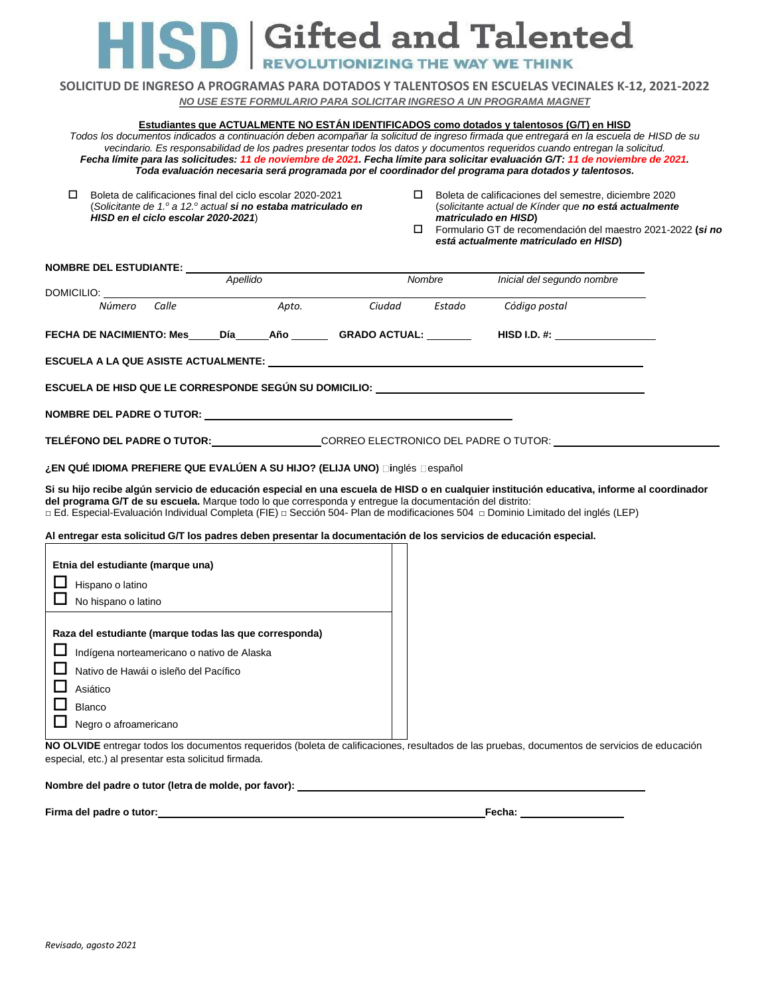# **SD** Gifted and Talented

**REVOLUTIONIZING THE WAY WE THINK** 

**SOLICITUD DE INGRESO A PROGRAMAS PARA DOTADOS Y TALENTOSOS EN ESCUELAS VECINALES K-12, 2021-2022** *NO USE ESTE FORMULARIO PARA SOLICITAR INGRESO A UN PROGRAMA MAGNET*

#### **Estudiantes que ACTUALMENTE NO ESTÁN IDENTIFICADOS como dotados y talentosos (G/T) en HISD**

*Todos los documentos indicados a continuación deben acompañar la solicitud de ingreso firmada que entregará en la escuela de HISD de su* vecindario. Es responsabilidad de los padres presentar todos los datos y documentos requeridos cuando entregan la solicitud. Fecha límite para las solicitudes: 11 de noviembre de 2021. Fecha límite para solicitar evaluación G/T: 11 de noviembre de 2021. *Toda evaluación necesaria será programada por el coordinador del programa para dotados y talentosos.*

- Boleta de calificaciones final del ciclo escolar 2020-2021 (*Solicitante de 1.<sup>o</sup> a 12.<sup>o</sup> actual si no estaba matriculado en HISD en el ciclo escolar 2020-2021*)
- $\square$  Boleta de calificaciones del semestre, diciembre 2020 (*solicitante actual de Kínder que no está actualmente matriculado en HISD***)**
- Formulario GT de recomendación del maestro 2021-2022 **(***si no está actualmente matriculado en HISD***)**

| NOMBRE DEL ESTUDIANTE:                                                                                             |  |          |  |        |        |                                                                                                                                            |  |  |  |
|--------------------------------------------------------------------------------------------------------------------|--|----------|--|--------|--------|--------------------------------------------------------------------------------------------------------------------------------------------|--|--|--|
|                                                                                                                    |  | Apellido |  |        | Nombre | Inicial del segundo nombre                                                                                                                 |  |  |  |
|                                                                                                                    |  |          |  |        |        |                                                                                                                                            |  |  |  |
| DOMICILIO: <u>Window Calle</u> Apto.                                                                               |  |          |  | Ciudad | Estado | Código postal                                                                                                                              |  |  |  |
| FECHA DE NACIMIENTO: Mes Día Año GRADO ACTUAL:                                                                     |  |          |  |        |        | $HISD I.D. #: __________$                                                                                                                  |  |  |  |
|                                                                                                                    |  |          |  |        |        |                                                                                                                                            |  |  |  |
|                                                                                                                    |  |          |  |        |        |                                                                                                                                            |  |  |  |
| ESCUELA DE HISD QUE LE CORRESPONDE SEGÚN SU DOMICILIO: __________________________                                  |  |          |  |        |        |                                                                                                                                            |  |  |  |
|                                                                                                                    |  |          |  |        |        |                                                                                                                                            |  |  |  |
|                                                                                                                    |  |          |  |        |        |                                                                                                                                            |  |  |  |
|                                                                                                                    |  |          |  |        |        |                                                                                                                                            |  |  |  |
|                                                                                                                    |  |          |  |        |        | TELÉFONO DEL PADRE O TUTOR:____________________CORREO ELECTRONICO DEL PADRE O TUTOR: _______________                                       |  |  |  |
| ¿EN QUÉ IDIOMA PREFIERE QUE EVALÚEN A SU HIJO? (ELIJA UNO) □inglés □español                                        |  |          |  |        |        |                                                                                                                                            |  |  |  |
|                                                                                                                    |  |          |  |        |        | Si su hijo recibe algún servicio de educación especial en una escuela de HISD o en cualquier institución educativa, informe al coordinador |  |  |  |
| del programa G/T de su escuela. Marque todo lo que corresponda y entregue la documentación del distrito:           |  |          |  |        |        |                                                                                                                                            |  |  |  |
|                                                                                                                    |  |          |  |        |        | □ Ed. Especial-Evaluación Individual Completa (FIE) □ Sección 504- Plan de modificaciones 504 □ Dominio Limitado del inglés (LEP)          |  |  |  |
| Al entregar esta solicitud G/T los padres deben presentar la documentación de los servicios de educación especial. |  |          |  |        |        |                                                                                                                                            |  |  |  |
|                                                                                                                    |  |          |  |        |        |                                                                                                                                            |  |  |  |
| Etnia del estudiante (marque una)                                                                                  |  |          |  |        |        |                                                                                                                                            |  |  |  |
| Hispano o latino                                                                                                   |  |          |  |        |        |                                                                                                                                            |  |  |  |
| No hispano o latino                                                                                                |  |          |  |        |        |                                                                                                                                            |  |  |  |
|                                                                                                                    |  |          |  |        |        |                                                                                                                                            |  |  |  |

**Raza del estudiante (marque todas las que corresponda)**

| Indígena norteamericano o nativo de Alaska |
|--------------------------------------------|
| Nativo de Hawái o isleño del Pacífico      |
| $\Box$ Asiático                            |
|                                            |

L Blanco  $\Box$  Negro o afroamericano

**NO OLVIDE** entregar todos los documentos requeridos (boleta de calificaciones, resultados de las pruebas, documentos de servicios de educación especial, etc.) al presentar esta solicitud firmada.

## **Nombre del padre o tutor (letra de molde, por favor):**

**Firma del padre o tutor: Fecha:**